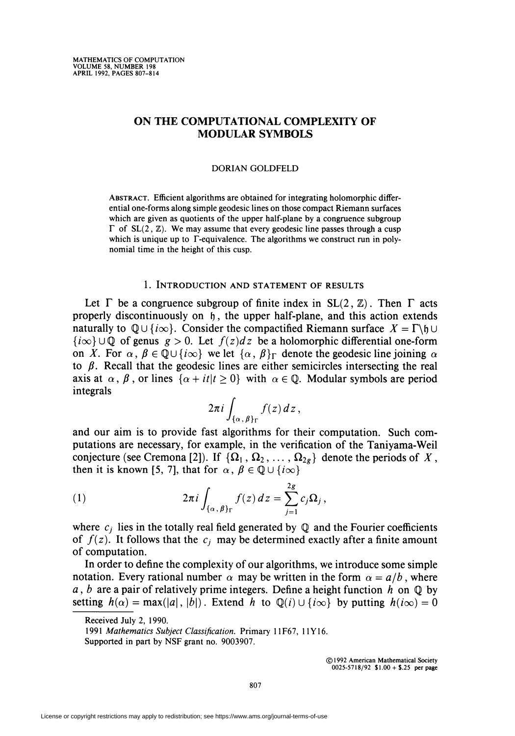# ON THE COMPUTATIONAL COMPLEXITY OF MODULAR SYMBOLS

#### DORIAN GOLDFELD

Abstract. Efficient algorithms are obtained for integrating holomorphic differential one-forms along simple geodesic lines on those compact Riemann surfaces which are given as quotients of the upper half-plane by a congruence subgroup  $\Gamma$  of SL(2,  $\mathbb{Z}$ ). We may assume that every geodesic line passes through a cusp which is unique up to  $\Gamma$ -equivalence. The algorithms we construct run in polynomial time in the height of this cusp.

## 1. Introduction and statement of results

Let  $\Gamma$  be a congruence subgroup of finite index in SL(2,  $\mathbb{Z}$ ). Then  $\Gamma$  acts properly discontinuously on  $\mathfrak{h}$ , the upper half-plane, and this action extends naturally to  $\mathbb{Q} \cup \{i\infty\}$ . Consider the compactified Riemann surface  $X = \Gamma \backslash \mathfrak{h} \cup \Gamma$  ${i\infty}$   $\cup$  Q of genus  $g > 0$ . Let  $f(z)dz$  be a holomorphic differential one-form on X. For  $\alpha$ ,  $\beta \in \mathbb{Q} \cup \{i\infty\}$  we let  $\{\alpha, \beta\}$  denote the geodesic line joining  $\alpha$ to  $\beta$ . Recall that the geodesic lines are either semicircles intersecting the real axis at  $\alpha$ ,  $\beta$ , or lines  $\{\alpha + it|t \geq 0\}$  with  $\alpha \in \mathbb{Q}$ . Modular symbols are period integrals

$$
2\pi i \int_{\{\alpha,\,\beta\}_{\Gamma}} f(z)\,dz\,,
$$

and our aim is to provide fast algorithms for their computation. Such computations are necessary, for example, in the verification of the Taniyama-Weil conjecture (see Cremona [2]). If  $\{\Omega_1, \Omega_2, \ldots, \Omega_{2g}\}\$  denote the periods of X, then it is known [5, 7], that for  $\alpha$ ,  $\beta \in \mathbb{Q} \cup \{i\infty\}$ 

(1) 
$$
2\pi i \int_{\{\alpha,\beta\}r} f(z) dz = \sum_{j=1}^{2g} c_j \Omega_j,
$$

where  $c_i$  lies in the totally real field generated by  $\mathbb Q$  and the Fourier coefficients of  $f(z)$ . It follows that the  $c_j$  may be determined exactly after a finite amount of computation.

In order to define the complexity of our algorithms, we introduce some simple notation. Every rational number  $\alpha$  may be written in the form  $\alpha = a/b$ , where a, b are a pair of relatively prime integers. Define a height function h on  $\mathbb Q$  by setting  $h(\alpha) = \max(|a|, |b|)$ . Extend h to  $\mathbb{Q}(i) \cup \{i\infty\}$  by putting  $h(i\infty) = 0$ 

Received July 2, 1990.

<sup>1991</sup> Mathematics Subject Classification. Primary 11F67, 11Y16. Supported in part by NSF grant no. 9003907.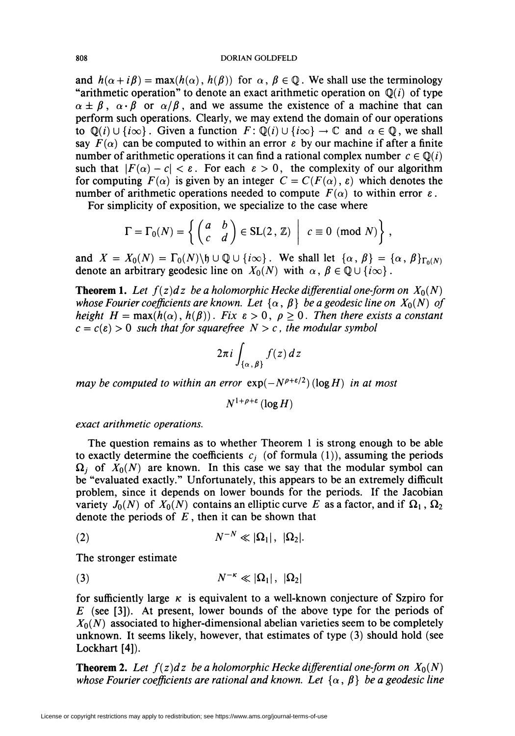#### 808 DORIAN GOLDFELD

and  $h(\alpha + i\beta) = \max(h(\alpha), h(\beta))$  for  $\alpha, \beta \in \mathbb{Q}$ . We shall use the terminology "arithmetic operation" to denote an exact arithmetic operation on  $\mathbb{Q}(i)$  of type  $\alpha \pm \beta$ ,  $\alpha \cdot \beta$  or  $\alpha/\beta$ , and we assume the existence of a machine that can perform such operations. Clearly, we may extend the domain of our operations to  $\mathbb{Q}(i) \cup \{i\infty\}$ . Given a function  $F: \mathbb{Q}(i) \cup \{i\infty\} \to \mathbb{C}$  and  $\alpha \in \mathbb{Q}$ , we shall say  $F(\alpha)$  can be computed to within an error  $\varepsilon$  by our machine if after a finite number of arithmetic operations it can find a rational complex number  $c \in \mathbb{Q}(i)$ such that  $|F(\alpha) - c| < \varepsilon$ . For each  $\varepsilon > 0$ , the complexity of our algorithm for computing  $F(\alpha)$  is given by an integer  $C = C(F(\alpha), \varepsilon)$  which denotes the number of arithmetic operations needed to compute  $F(\alpha)$  to within error  $\varepsilon$ .

For simplicity of exposition, we specialize to the case where

$$
\Gamma = \Gamma_0(N) = \left\{ \begin{pmatrix} a & b \\ c & d \end{pmatrix} \in SL(2, \mathbb{Z}) \middle| c \equiv 0 \pmod{N} \right\},\
$$

and  $X = X_0(N) = \Gamma_0(N) \backslash \mathfrak{h} \cup \mathbb{Q} \cup \{i \infty\}$ . We shall let  $\{\alpha, \beta\} = \{\alpha, \beta\}_{\Gamma_0(N)}$ denote an arbitrary geodesic line on  $X_0(N)$  with  $\alpha, \beta \in \mathbb{Q} \cup \{i\infty\}$ .

**Theorem 1.** Let  $f(z)dz$  be a holomorphic Hecke differential one-form on  $X_0(N)$ whose Fourier coefficients are known. Let  $\{\alpha, \beta\}$  be a geodesic line on  $X_0(N)$  of height  $H = max(h(\alpha), h(\beta))$ . Fix  $\varepsilon > 0$ ,  $\rho \ge 0$ . Then there exists a constant  $c = c(\varepsilon) > 0$  such that for squarefree  $N > c$ , the modular symbol

$$
2\pi i \int_{\{\alpha,\,\beta\}} f(z)\,dz
$$

may be computed to within an error  $exp(-N^{p+\epsilon/2})$  (log H) in at most

$$
N^{1+\rho+\varepsilon}\left(\log H\right)
$$

exact arithmetic operations.

The question remains as to whether Theorem 1 is strong enough to be able to exactly determine the coefficients  $c_i$  (of formula (1)), assuming the periods  $\Omega_i$  of  $X_0(N)$  are known. In this case we say that the modular symbol can be "evaluated exactly." Unfortunately, this appears to be an extremely difficult problem, since it depends on lower bounds for the periods. If the Jacobian variety  $J_0(N)$  of  $X_0(N)$  contains an elliptic curve E as a factor, and if  $\Omega_1$ ,  $\Omega_2$ denote the periods of  $E$ , then it can be shown that

$$
(2) \t\t N^{-N} \ll |\Omega_1|, |\Omega_2|.
$$

The stronger estimate

$$
(3) \t\t N^{-\kappa} \ll |\Omega_1|, |\Omega_2|
$$

for sufficiently large  $\kappa$  is equivalent to a well-known conjecture of Szpiro for  $E$  (see [3]). At present, lower bounds of the above type for the periods of  $X_0(N)$  associated to higher-dimensional abelian varieties seem to be completely unknown. It seems likely, however, that estimates of type (3) should hold (see Lockhart [4]).

**Theorem 2.** Let  $f(z)dz$  be a holomorphic Hecke differential one-form on  $X_0(N)$ whose Fourier coefficients are rational and known. Let  $\{\alpha, \beta\}$  be a geodesic line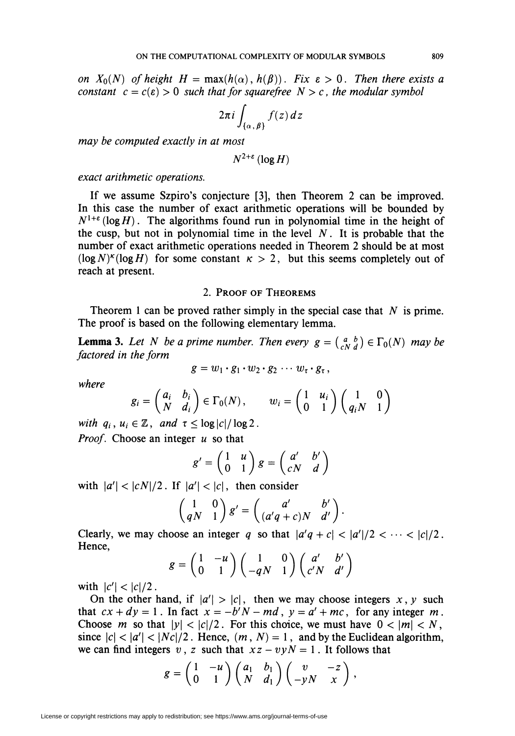on  $X_0(N)$  of height  $H = \max(h(\alpha), h(\beta))$ . Fix  $\varepsilon > 0$ . Then there exists a constant  $c = c(\varepsilon) > 0$  such that for squarefree  $N > c$ , the modular symbol

$$
2\pi i \int_{\{\alpha,\,\beta\}} f(z)\,dz
$$

may be computed exactly in at most

$$
N^{2+\varepsilon}\left(\log H\right)
$$

exact arithmetic operations.

If we assume Szpiro's conjecture [3], then Theorem 2 can be improved. In this case the number of exact arithmetic operations will be bounded by  $N^{1+\varepsilon}$  (log H). The algorithms found run in polynomial time in the height of the cusp, but not in polynomial time in the level  $N$ . It is probable that the number of exact arithmetic operations needed in Theorem 2 should be at most  $(\log N)^{\kappa} (\log H)$  for some constant  $\kappa > 2$ , but this seems completely out of reach at present.

## 2. Proof of Theorems

Theorem 1 can be proved rather simply in the special case that  $N$  is prime. The proof is based on the following elementary lemma.

**Lemma 3.** Let N be a prime number. Then every  $g = \begin{pmatrix} a & b \\ c & d \end{pmatrix} \in \Gamma_0(N)$  may be factored in the form

$$
g=w_1\cdot g_1\cdot w_2\cdot g_2\cdots w_{\tau}\cdot g_{\tau},
$$

where  

$$
g_i = \begin{pmatrix} a_i & b_i \\ N & d_i \end{pmatrix} \in \Gamma_0(N), \qquad w_i = \begin{pmatrix} 1 & u_i \\ 0 & 1 \end{pmatrix} \begin{pmatrix} 1 & 0 \\ q_i N & 1 \end{pmatrix}
$$

with  $q_i$ ,  $u_i \in \mathbb{Z}$ , and  $\tau \leq \log|c|/\log 2$ . *Proof.* Choose an integer  $u$  so that

$$
g' = \begin{pmatrix} 1 & u \\ 0 & 1 \end{pmatrix} g = \begin{pmatrix} a' & b' \\ cN & d \end{pmatrix}
$$

with  $|a'| < |cN|/2$ . If  $|a'| < |c|$ , then consider

$$
\begin{pmatrix} 1 & 0 \ qN & 1 \end{pmatrix} g' = \begin{pmatrix} a' & b' \ (a'q+c)N & d' \end{pmatrix}.
$$

Clearly, we may choose an integer q so that  $\left| \frac{a'q + c}{\sqrt{2}} \right| < \frac{|a'|}{2} < \cdots < |c|/2$ . Hence,

$$
g = \begin{pmatrix} 1 & -u \\ 0 & 1 \end{pmatrix} \begin{pmatrix} 1 & 0 \\ -qN & 1 \end{pmatrix} \begin{pmatrix} a' & b' \\ c'N & d' \end{pmatrix}
$$

with  $|c'| < |c|/2$ .

On the other hand, if  $|a'\rangle > |c|$ , then we may choose integers x, y such that  $cx + dy = 1$ . In fact  $x = -b'N - md$ ,  $y = a' + mc$ , for any integer m. Choose m so that  $|y| < |c|/2$ . For this choice, we must have  $0 < |m| < N$ , since  $\vert c \vert < \vert a' \vert < \vert Nc \vert /2$ . Hence,  $(m, N) = 1$ , and by the Euclidean algorithm, we can find integers v, z such that  $xz - vyN = 1$ . It follows that

$$
g=\begin{pmatrix}1&-u\\0&1\end{pmatrix}\begin{pmatrix}a_1&b_1\\N&d_1\end{pmatrix}\begin{pmatrix}v&-z\\-yN&x\end{pmatrix},
$$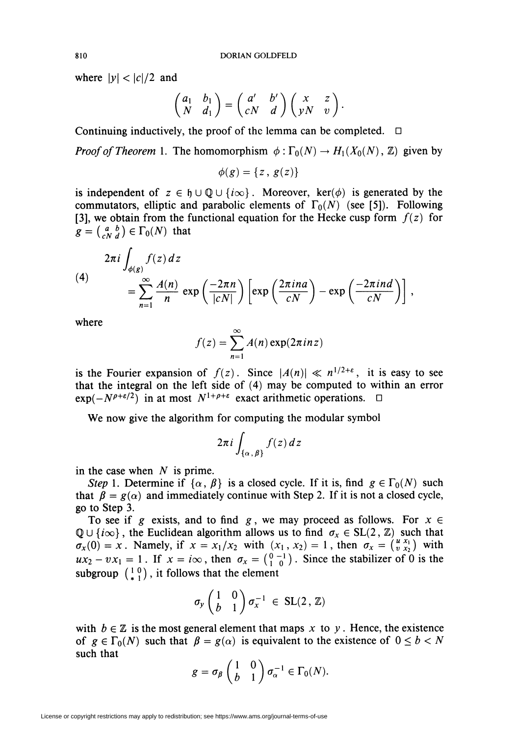where  $|y| < |c|/2$  and

$$
\begin{pmatrix} a_1 & b_1 \ N & d_1 \end{pmatrix} = \begin{pmatrix} a' & b' \\ cN & d \end{pmatrix} \begin{pmatrix} x & z \\ yN & v \end{pmatrix}.
$$

Continuing inductively, the proof of the lemma can be completed.  $\Box$ 

*Proof of Theorem* 1. The homomorphism  $\phi: \Gamma_0(N) \to H_1(X_0(N), \mathbb{Z})$  given by

 $\phi(g) = \{z, g(z)\}\;$ 

is independent of  $z \in \mathfrak{h} \cup \mathbb{Q} \cup \{i\infty\}$ . Moreover, ker( $\phi$ ) is generated by the commutators, elliptic and parabolic elements of  $\Gamma_0(N)$  (see [5]). Following [3], we obtain from the functional equation for the Hecke cusp form  $f(z)$  for  $g = \begin{pmatrix} a & b \\ c & d \end{pmatrix} \in \Gamma_0(N)$  that

(4)  
\n
$$
2\pi i \int_{\phi(g)} f(z) dz = \sum_{n=1}^{\infty} \frac{A(n)}{n} \exp\left(\frac{-2\pi n}{|cN|}\right) \left[\exp\left(\frac{2\pi ina}{cN}\right) - \exp\left(\frac{-2\pi ind}{cN}\right)\right],
$$

where

$$
f(z) = \sum_{n=1}^{\infty} A(n) \exp(2\pi i n z)
$$

is the Fourier expansion of  $f(z)$ . Since  $|A(n)| \ll n^{1/2+\epsilon}$ , it is easy to see that the integral on the left side of (4) may be computed to within an error  $\exp(-N^{\rho+\epsilon/2})$  in at most  $N^{1+\rho+\epsilon}$  exact arithmetic operations.  $\Box$ 

We now give the algorithm for computing the modular symbol

$$
2\pi i \int_{\{\alpha,\,\beta\}} f(z)\,dz
$$

in the case when  $N$  is prime.

Step 1. Determine if  $\{\alpha, \beta\}$  is a closed cycle. If it is, find  $g \in \Gamma_0(N)$  such that  $\beta = g(\alpha)$  and immediately continue with Step 2. If it is not a closed cycle, go to Step 3.

To see if g exists, and to find g, we may proceed as follows. For  $x \in$  $\mathbb{Q} \cup \{i\infty\}$ , the Euclidean algorithm allows us to find  $\sigma_x \in SL(2, \mathbb{Z})$  such that  $\sigma_x(0) = x$ . Namely, if  $x = x_1/x_2$  with  $(x_1, x_2) = 1$ , then  $\sigma_x = \begin{pmatrix} u & x_1 \\ v & x_2 \end{pmatrix}$  with  $ux_2 - vx_1 = 1$ . If  $x = i\infty$ , then  $\sigma_x = \begin{pmatrix} 0 & -1 \\ 1 & 0 \end{pmatrix}$ . Since the stabilizer of 0 is the subgroup  $\begin{pmatrix} 1 & 0 \\ * & 1 \end{pmatrix}$ , it follows that the element

$$
\sigma_y \begin{pmatrix} 1 & 0 \\ b & 1 \end{pmatrix} \sigma_x^{-1} \in SL(2, \mathbb{Z})
$$

with  $b \in \mathbb{Z}$  is the most general element that maps x to y. Hence, the existence of  $g \in \Gamma_0(N)$  such that  $\beta = g(\alpha)$  is equivalent to the existence of  $0 \le b < N$ such that

$$
g = \sigma_{\beta} \begin{pmatrix} 1 & 0 \\ b & 1 \end{pmatrix} \sigma_{\alpha}^{-1} \in \Gamma_0(N).
$$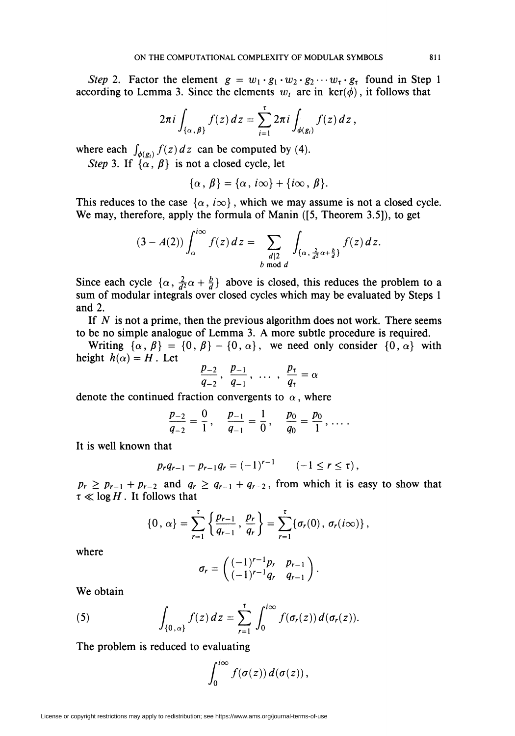Step 2. Factor the element  $g = w_1 \cdot g_1 \cdot w_2 \cdot g_2 \cdots w_{\tau} \cdot g_{\tau}$  found in Step 1 according to Lemma 3. Since the elements  $w_i$  are in ker( $\phi$ ), it follows that

$$
2\pi i \int_{\{\alpha,\,\beta\}} f(z)\,dz = \sum_{i=1}^\tau 2\pi i \int_{\phi(g_i)} f(z)\,dz\,,
$$

where each  $\int_{\phi(g_i)} f(z) dz$  can be computed by (4).

Step 3. If  $\{\alpha, \beta\}$  is not a closed cycle, let

$$
\{\alpha\,,\,\beta\}=\{\alpha\,,\,i\infty\}+\{i\infty\,,\,\beta\}.
$$

This reduces to the case  $\{\alpha, i\infty\}$ , which we may assume is not a closed cycle. We may, therefore, apply the formula of Manin ([5, Theorem 3.5]), to get

$$
(3-A(2))\int_{\alpha}^{i\infty}f(z)\,dz=\sum_{\substack{d\mid 2\\b\bmod d}}\int_{\{\alpha,\frac{2}{d^2}\alpha+\frac{b}{d}\}}f(z)\,dz
$$

Since each cycle  $\{\alpha, \frac{2}{d^2}\alpha + \frac{b}{d}\}\$ above is closed, this reduces the problem to a sum of modular integrals over closed cycles which may be evaluated by Steps 1 and 2.

If  $N$  is not a prime, then the previous algorithm does not work. There seems to be no simple analogue of Lemma 3. A more subtle procedure is required.

Writing  $\{\alpha, \beta\} = \{0, \beta\} - \{0, \alpha\}$ , we need only consider  $\{0, \alpha\}$  with height  $h(\alpha) = H$ . Let

$$
\frac{p_{-2}}{q_{-2}},\ \frac{p_{-1}}{q_{-1}},\ \ldots\ ,\ \frac{p_{\tau}}{q_{\tau}}=\alpha
$$

denote the continued fraction convergents to  $\alpha$ , where

$$
\frac{p_{-2}}{q_{-2}}=\frac{0}{1}, \quad \frac{p_{-1}}{q_{-1}}=\frac{1}{0}, \quad \frac{p_0}{q_0}=\frac{p_0}{1}, \ldots.
$$

It is well known that

$$
p_r q_{r-1} - p_{r-1} q_r = (-1)^{r-1} \qquad (-1 \leq r \leq \tau),
$$

 $p_r \geq p_{r-1} + p_{r-2}$  and  $q_r \geq q_{r-1} + q_{r-2}$ , from which it is easy to show that  $\tau \ll \log H$ . It follows that

$$
\{0\,,\,\alpha\}=\sum_{r=1}^{\tau}\left\{\frac{p_{r-1}}{q_{r-1}}\,,\,\frac{p_r}{q_r}\right\}=\sum_{r=1}^{\tau}\{\sigma_r(0)\,,\,\sigma_r(i\infty)\}\,,
$$

where

$$
\sigma_r = \begin{pmatrix} (-1)^{r-1} p_r & p_{r-1} \\ (-1)^{r-1} q_r & q_{r-1} \end{pmatrix}.
$$

We obtain

(5) 
$$
\int_{\{0,\alpha\}} f(z) dz = \sum_{r=1}^{\tau} \int_{0}^{i\infty} f(\sigma_r(z)) d(\sigma_r(z)).
$$

The problem is reduced to evaluating

$$
\int_0^{i\infty} f(\sigma(z))\,d(\sigma(z))\,
$$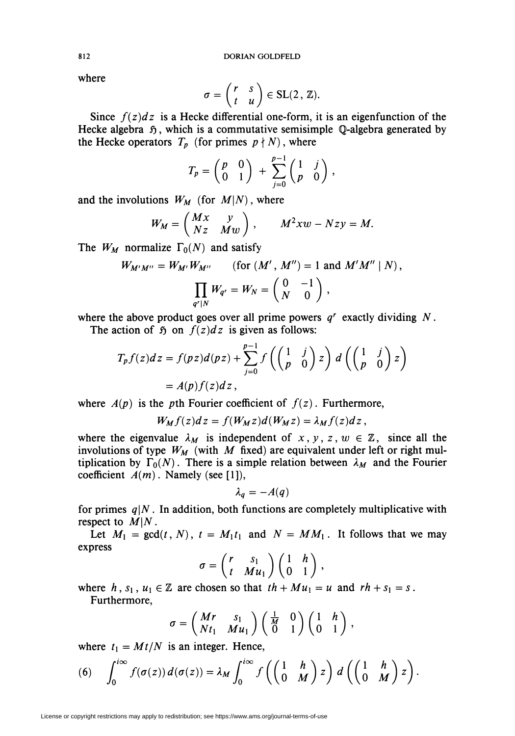where

$$
\sigma = \begin{pmatrix} r & s \\ t & u \end{pmatrix} \in SL(2, \mathbb{Z}).
$$

Since  $f(z)dz$  is a Hecke differential one-form, it is an eigenfunction of the Hecke algebra  $\tilde{p}$ , which is a commutative semisimple Q-algebra generated by the Hecke operators  $T_p$  (for primes  $p \nmid N$ ), where

$$
T_p = \begin{pmatrix} p & 0 \\ 0 & 1 \end{pmatrix} + \sum_{j=0}^{p-1} \begin{pmatrix} 1 & j \\ p & 0 \end{pmatrix},
$$

and the involutions  $W_M$  (for  $M(N)$ , where

$$
W_M = \begin{pmatrix} Mx & y \\ Nz & Mw \end{pmatrix}, \qquad M^2xw - Nzy = M.
$$

The  $W_M$  normalize  $\Gamma_0(N)$  and satisfy

$$
W_{M'M''} = W_{M'}W_{M''}
$$
 (for  $(M', M'') = 1$  and  $M'M'' | N$ ),  

$$
\prod_{q' \mid N} W_{q'} = W_N = \begin{pmatrix} 0 & -1 \\ N & 0 \end{pmatrix},
$$

where the above product goes over all prime powers  $q<sup>r</sup>$  exactly dividing N.

The action of  $\tilde{p}$  on  $f(z)dz$  is given as follows:

$$
T_p f(z) dz = f(pz) d(pz) + \sum_{j=0}^{p-1} f\left(\begin{pmatrix} 1 & j \\ p & 0 \end{pmatrix} z\right) d\left(\begin{pmatrix} 1 & j \\ p & 0 \end{pmatrix} z\right)
$$
  
=  $A(p) f(z) dz$ ,

where  $A(p)$  is the pth Fourier coefficient of  $f(z)$ . Furthermore,

$$
W_M f(z) dz = f(W_M z) d(W_M z) = \lambda_M f(z) dz
$$

where the eigenvalue  $\lambda_M$  is independent of  $x, y, z, w \in \mathbb{Z}$ , since all the involutions of type  $W_M$  (with M fixed) are equivalent under left or right multiplication by  $\Gamma_0(N)$ . There is a simple relation between  $\lambda_M$  and the Fourier coefficient  $A(m)$ . Namely (see [1]),

$$
\lambda_q=-A(q)
$$

for primes  $q|N$ . In addition, both functions are completely multiplicative with respect to  $M|N$ .

Let  $M_1 = \gcd(t, N)$ ,  $t = M_1t_1$  and  $N = MM_1$ . It follows that we may express

$$
\sigma = \begin{pmatrix} r & s_1 \\ t & Mu_1 \end{pmatrix} \begin{pmatrix} 1 & h \\ 0 & 1 \end{pmatrix},
$$

where h,  $s_1$ ,  $u_1 \in \mathbb{Z}$  are chosen so that  $th + Mu_1 = u$  and  $rh + s_1 = s$ . Furthermore,

$$
\sigma = \begin{pmatrix} Mr & s_1 \\ Nt_1 & Mu_1 \end{pmatrix} \begin{pmatrix} \frac{1}{M} & 0 \\ 0 & 1 \end{pmatrix} \begin{pmatrix} 1 & h \\ 0 & 1 \end{pmatrix},
$$

where  $t_1 = Mt/N$  is an integer. Hence,

(6) 
$$
\int_0^{i\infty} f(\sigma(z)) d(\sigma(z)) = \lambda_M \int_0^{i\infty} f\left(\begin{pmatrix} 1 & h \\ 0 & M \end{pmatrix} z\right) d\left(\begin{pmatrix} 1 & h \\ 0 & M \end{pmatrix} z\right).
$$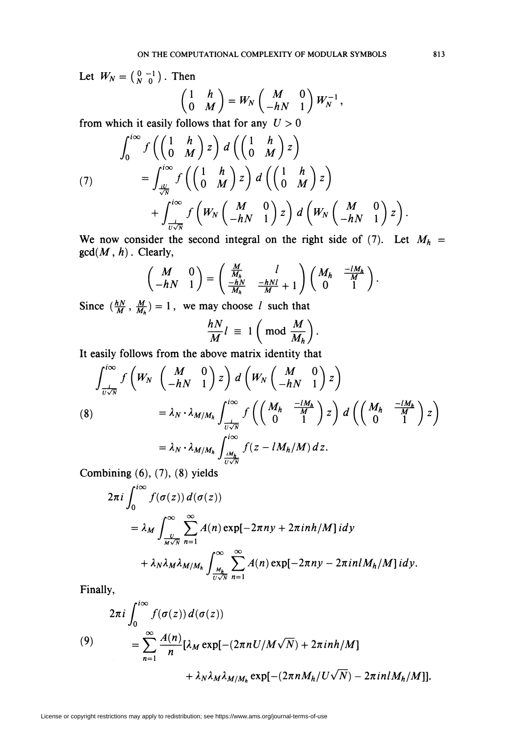Let  $W_N = \begin{pmatrix} 0 & -1 \\ N & 0 \end{pmatrix}$ . Then

$$
\begin{pmatrix} 1 & h \ 0 & M \end{pmatrix} = W_N \begin{pmatrix} M & 0 \ -hN & 1 \end{pmatrix} W_N^{-1},
$$

from which it easily follows that for any  $U > 0$ 

$$
\int_0^{i\infty} f\left(\begin{pmatrix} 1 & h \\ 0 & M \end{pmatrix} z\right) d\left(\begin{pmatrix} 1 & h \\ 0 & M \end{pmatrix} z\right)
$$
  
(7)  

$$
= \int_{\frac{iv}{\sqrt{N}}}^{i\infty} f\left(\begin{pmatrix} 1 & h \\ 0 & M \end{pmatrix} z\right) d\left(\begin{pmatrix} 1 & h \\ 0 & M \end{pmatrix} z\right)
$$
  

$$
+ \int_{\frac{v}{\sqrt{N}}}^{i\infty} f\left(W_N \begin{pmatrix} M & 0 \\ -hN & 1 \end{pmatrix} z\right) d\left(W_N \begin{pmatrix} M & 0 \\ -hN & 1 \end{pmatrix} z\right).
$$

We now consider the second integral on the right side of (7). Let  $M_h$  =  $gcd(M, h)$ . Clearly,

$$
\begin{pmatrix} M & 0 \ -hN & 1 \end{pmatrix} = \begin{pmatrix} \frac{M}{M_h} & l \\ \frac{-hN}{M_h} & \frac{-hNl}{M} + 1 \end{pmatrix} \begin{pmatrix} M_h & \frac{-lM_h}{M} \\ 0 & 1 \end{pmatrix}.
$$

Since  $(\frac{hN}{M}, \frac{M}{M_h}) = 1$ , we may choose *l* such that

$$
\frac{hN}{M}l \equiv 1 \left( \bmod \frac{M}{M_h} \right).
$$

It easily follows from the above matrix identity that

$$
\int_{\frac{1}{U\sqrt{N}}}^{i\infty} f\left(W_N \left(\frac{M}{-hN} \frac{0}{1}\right) z\right) d\left(W_N \left(\frac{M}{-hN} \frac{0}{1}\right) z\right)
$$
\n
$$
(8) \qquad = \lambda_N \cdot \lambda_{M/M_h} \int_{\frac{i}{U\sqrt{N}}}^{i\infty} f\left(\left(\frac{M_h}{0} - \frac{-lM_h}{1}\right) z\right) d\left(\left(\frac{M_h}{0} - \frac{-lM_h}{1}\right) z\right)
$$
\n
$$
= \lambda_N \cdot \lambda_{M/M_h} \int_{\frac{iM_h}{U\sqrt{N}}}^{i\infty} f(z - lM_h/M) dz.
$$

Combining  $(6)$ ,  $(7)$ ,  $(8)$  yields

$$
2\pi i \int_0^{1\infty} f(\sigma(z)) d(\sigma(z))
$$
  
=  $\lambda_M \int_{\frac{U}{M\sqrt{N}}}^{\infty} \sum_{n=1}^{\infty} A(n) \exp[-2\pi ny + 2\pi inh/M] idy$   
+  $\lambda_N \lambda_M \lambda_{M/M_h} \int_{\frac{M_h}{U\sqrt{N}}}^{\infty} \sum_{n=1}^{\infty} A(n) \exp[-2\pi ny - 2\pi inM_h/M] idy.$ 

Finally,

$$
2\pi i \int_0^{i\infty} f(\sigma(z)) d(\sigma(z))
$$
  
(9)  

$$
= \sum_{n=1}^{\infty} \frac{A(n)}{n} [\lambda_M \exp[-(2\pi n U/M\sqrt{N}) + 2\pi i n h/M]
$$

$$
+ \lambda_N \lambda_M \lambda_{M/M_h} \exp[-(2\pi n M_h/U\sqrt{N}) - 2\pi i n l M_h/M]].
$$